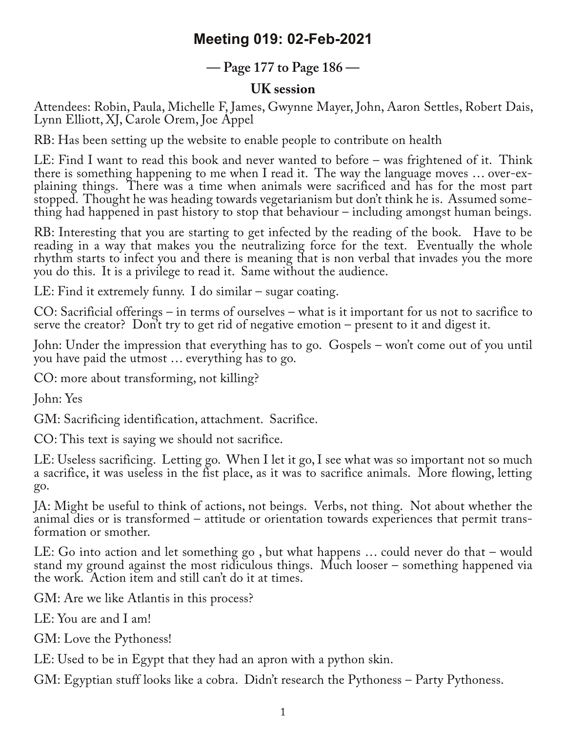## **Meeting 019: 02-Feb-2021**

## **— Page 177 to Page 186 —**

## **UK session**

Attendees: Robin, Paula, Michelle F, James, Gwynne Mayer, John, Aaron Settles, Robert Dais, Lynn Elliott, XJ, Carole Orem, Joe Appel

RB: Has been setting up the website to enable people to contribute on health

LE: Find I want to read this book and never wanted to before – was frightened of it. Think there is something happening to me when I read it. The way the language moves ... over-explaining things. There was a time when animals were sacrificed and has for the most part stopped. Thought he was heading towards vegetarianism but don't think he is. Assumed something had happened in past history to stop that behaviour – including amongst human beings.

RB: Interesting that you are starting to get infected by the reading of the book. Have to be reading in a way that makes you the neutralizing force for the text. Eventually the whole rhythm starts to infect you and there is meaning that is non verbal that invades you the more you do this. It is a privilege to read it. Same without the audience.

LE: Find it extremely funny. I do similar – sugar coating.

CO: Sacrificial offerings – in terms of ourselves – what is it important for us not to sacrifice to serve the creator? Don't try to get rid of negative emotion – present to it and digest it.

John: Under the impression that everything has to go. Gospels – won't come out of you until you have paid the utmost … everything has to go.

CO: more about transforming, not killing?

John: Yes

GM: Sacrificing identification, attachment. Sacrifice.

CO: This text is saying we should not sacrifice.

LE: Useless sacrificing. Letting go. When I let it go, I see what was so important not so much a sacrifice, it was useless in the fist place, as it was to sacrifice animals. More flowing, letting go.

JA: Might be useful to think of actions, not beings. Verbs, not thing. Not about whether the animal dies or is transformed – attitude or orientation towards experiences that permit trans‐ formation or smother.

LE: Go into action and let something go , but what happens … could never do that – would stand my ground against the most ridiculous things. Much looser – something happened via the work. Action item and still can't do it at times.

GM: Are we like Atlantis in this process?

LE: You are and I am!

GM: Love the Pythoness!

LE: Used to be in Egypt that they had an apron with a python skin.

GM: Egyptian stuff looks like a cobra. Didn't research the Pythoness – Party Pythoness.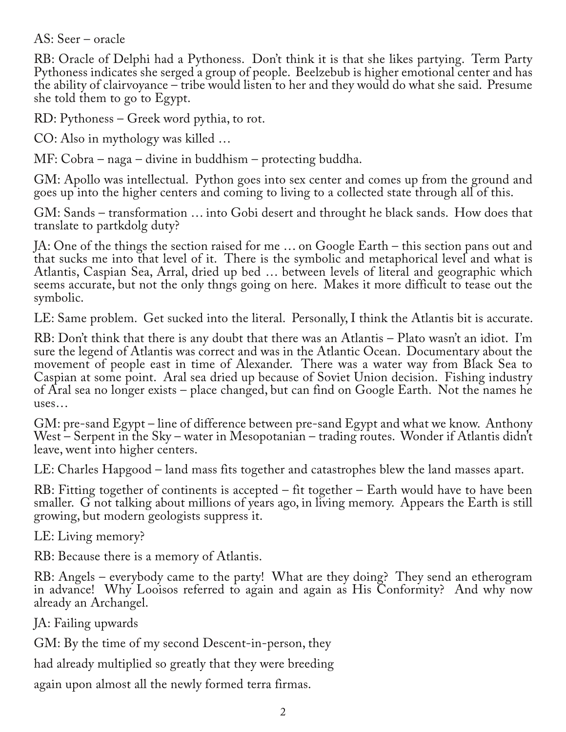AS: Seer – oracle

RB: Oracle of Delphi had a Pythoness. Don't think it is that she likes partying. Term Party Pythoness indicates she serged a group of people. Beelzebub is higher emotional center and has the ability of clairvoyance – tribe would listen to her and they would do what she said. Presume she told them to go to Egypt.

RD: Pythoness – Greek word pythia, to rot.

CO: Also in mythology was killed …

MF: Cobra – naga – divine in buddhism – protecting buddha.

GM: Apollo was intellectual. Python goes into sex center and comes up from the ground and goes up into the higher centers and coming to living to a collected state through all of this.

GM: Sands – transformation … into Gobi desert and throught he black sands. How does that translate to partkdolg duty?

JA: One of the things the section raised for me … on Google Earth – this section pans out and that sucks me into that level of it. There is the symbolic and metaphorical level and what is Atlantis, Caspian Sea, Arral, dried up bed … between levels of literal and geographic which seems accurate, but not the only thngs going on here. Makes it more difficult to tease out the symbolic.

LE: Same problem. Get sucked into the literal. Personally, I think the Atlantis bit is accurate.

RB: Don't think that there is any doubt that there was an Atlantis – Plato wasn't an idiot. I'm sure the legend of Atlantis was correct and was in the Atlantic Ocean. Documentary about the movement of people east in time of Alexander. There was a water way from Black Sea to Caspian at some point. Aral sea dried up because of Soviet Union decision. Fishing industry of Aral sea no longer exists – place changed, but can find on Google Earth. Not the names he uses…

GM: pre-sand Egypt – line of difference between pre-sand Egypt and what we know. Anthony West – Serpent in the Sky – water in Mesopotanian – trading routes. Wonder if Atlantis didn't leave, went into higher centers.

LE: Charles Hapgood – land mass fits together and catastrophes blew the land masses apart.

RB: Fitting together of continents is accepted – fit together – Earth would have to have been smaller. G not talking about millions of years ago, in living memory. Appears the Earth is still growing, but modern geologists suppress it.

LE: Living memory?

RB: Because there is a memory of Atlantis.

RB: Angels – everybody came to the party! What are they doing? They send an etherogram in advance! Why Looisos referred to again and again as His Conformity? And why now already an Archangel.

JA: Failing upwards

GM: By the time of my second Descent-in-person, they

had already multiplied so greatly that they were breeding

again upon almost all the newly formed terra firmas.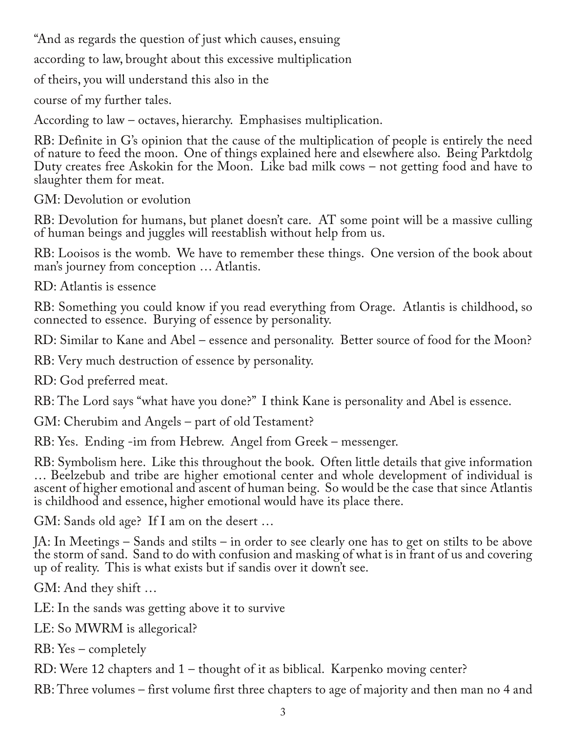"And as regards the question of just which causes, ensuing

according to law, brought about this excessive multiplication

of theirs, you will understand this also in the

course of my further tales.

According to law – octaves, hierarchy. Emphasises multiplication.

RB: Definite in G's opinion that the cause of the multiplication of people is entirely the need of nature to feed the moon. One of things explained here and elsewhere also. Being Parktdolg Duty creates free Askokin for the Moon. Like bad milk cows – not getting food and have to slaughter them for meat.

GM: Devolution or evolution

RB: Devolution for humans, but planet doesn't care. AT some point will be a massive culling of human beings and juggles will reestablish without help from us.

RB: Looisos is the womb. We have to remember these things. One version of the book about man's journey from conception … Atlantis.

RD: Atlantis is essence

RB: Something you could know if you read everything from Orage. Atlantis is childhood, so connected to essence. Burying of essence by personality.

RD: Similar to Kane and Abel – essence and personality. Better source of food for the Moon?

RB: Very much destruction of essence by personality.

RD: God preferred meat.

RB: The Lord says "what have you done?" I think Kane is personality and Abel is essence.

GM: Cherubim and Angels – part of old Testament?

RB: Yes. Ending -im from Hebrew. Angel from Greek – messenger.

RB: Symbolism here. Like this throughout the book. Often little details that give information … Beelzebub and tribe are higher emotional center and whole development of individual is ascent of higher emotional and ascent of human being. So would be the case that since Atlantis is childhood and essence, higher emotional would have its place there.

GM: Sands old age? If I am on the desert …

JA: In Meetings – Sands and stilts – in order to see clearly one has to get on stilts to be above the storm of sand. Sand to do with confusion and masking of what is in frant of us and covering up of reality. This is what exists but if sandis over it down't see.

GM: And they shift …

LE: In the sands was getting above it to survive

LE: So MWRM is allegorical?

RB: Yes – completely

RD: Were 12 chapters and 1 – thought of it as biblical. Karpenko moving center?

RB: Three volumes – first volume first three chapters to age of majority and then man no 4 and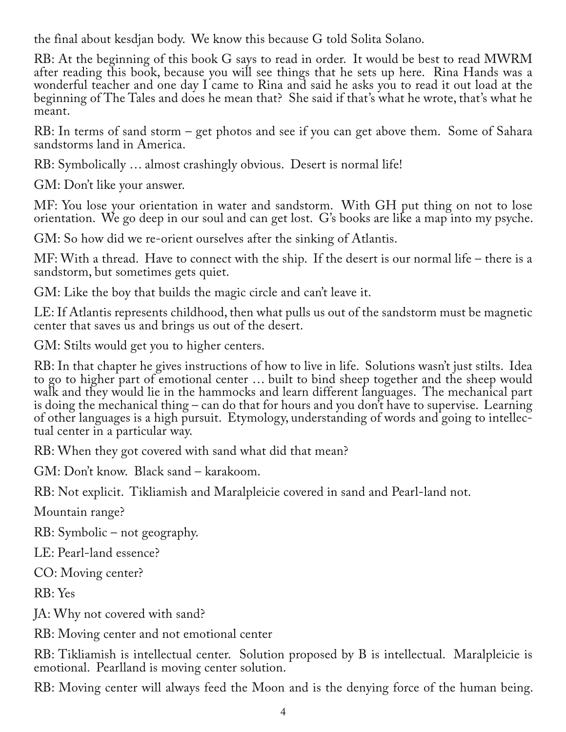the final about kesdjan body. We know this because G told Solita Solano.

RB: At the beginning of this book G says to read in order. It would be best to read MWRM after reading this book, because you will see things that he sets up here. Rina Hands was a wonderful teacher and one day I came to Rina and said he asks you to read it out load at the beginning of The Tales and does he mean that? She said if that's what he wrote, that's what he meant.

RB: In terms of sand storm – get photos and see if you can get above them. Some of Sahara sandstorms land in America.

RB: Symbolically … almost crashingly obvious. Desert is normal life!

GM: Don't like your answer.

MF: You lose your orientation in water and sandstorm. With GH put thing on not to lose orientation. We go deep in our soul and can get lost. G's books are like a map into my psyche.

GM: So how did we re-orient ourselves after the sinking of Atlantis.

MF: With a thread. Have to connect with the ship. If the desert is our normal life – there is a sandstorm, but sometimes gets quiet.

GM: Like the boy that builds the magic circle and can't leave it.

LE: If Atlantis represents childhood, then what pulls us out of the sandstorm must be magnetic center that saves us and brings us out of the desert.

GM: Stilts would get you to higher centers.

RB: In that chapter he gives instructions of how to live in life. Solutions wasn't just stilts. Idea to go to higher part of emotional center … built to bind sheep together and the sheep would walk and they would lie in the hammocks and learn different languages. The mechanical part is doing the mechanical thing – can do that for hours and you don't have to supervise. Learning of other languages is a high pursuit. Etymology, understanding of words and going to intellec‐ tual center in a particular way.

RB: When they got covered with sand what did that mean?

GM: Don't know. Black sand – karakoom.

RB: Not explicit. Tikliamish and Maralpleicie covered in sand and Pearl-land not.

Mountain range?

RB: Symbolic – not geography.

LE: Pearl-land essence?

CO: Moving center?

RB: Yes

JA: Why not covered with sand?

RB: Moving center and not emotional center

RB: Tikliamish is intellectual center. Solution proposed by B is intellectual. Maralpleicie is emotional. Pearlland is moving center solution.

RB: Moving center will always feed the Moon and is the denying force of the human being.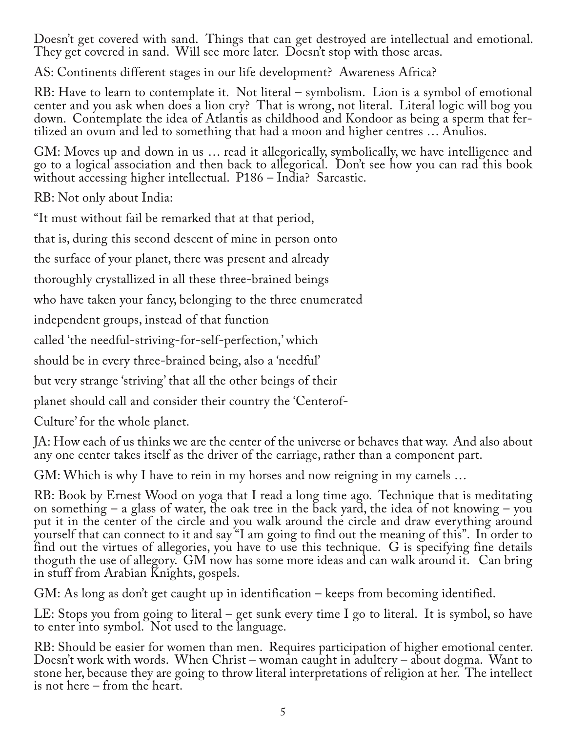Doesn't get covered with sand. Things that can get destroyed are intellectual and emotional. They get covered in sand. Will see more later. Doesn't stop with those areas.

AS: Continents different stages in our life development? Awareness Africa?

RB: Have to learn to contemplate it. Not literal – symbolism. Lion is a symbol of emotional center and you ask when does a lion cry? That is wrong, not literal. Literal logic will bog you down. Contemplate the idea of Atlantis as childhood and Kondoor as being a sperm that fertilized an ovum and led to something that had a moon and higher centres … Anulios.

GM: Moves up and down in us … read it allegorically, symbolically, we have intelligence and go to a logical association and then back to allegorical. Don't see how you can rad this book without accessing higher intellectual. P186 – India? Sarcastic.

RB: Not only about India:

"It must without fail be remarked that at that period,

that is, during this second descent of mine in person onto

the surface of your planet, there was present and already

thoroughly crystallized in all these three-brained beings

who have taken your fancy, belonging to the three enumerated

independent groups, instead of that function

called 'the needful-striving-for-self-perfection,' which

should be in every three-brained being, also a 'needful'

but very strange 'striving' that all the other beings of their

planet should call and consider their country the 'Centerof-

Culture' for the whole planet.

JA: How each of us thinks we are the center of the universe or behaves that way. And also about any one center takes itself as the driver of the carriage, rather than a component part.

GM: Which is why I have to rein in my horses and now reigning in my camels …

RB: Book by Ernest Wood on yoga that I read a long time ago. Technique that is meditating on something – a glass of water, the oak tree in the back yard, the idea of not knowing – you put it in the center of the circle and you walk around the circle and draw everything around yourself that can connect to it and say "I am going to find out the meaning of this". In order to find out the virtues of allegories, you have to use this technique. G is specifying fine details thoguth the use of allegory. GM now has some more ideas and can walk around it. Can bring in stuff from Arabian Knights, gospels.

GM: As long as don't get caught up in identification – keeps from becoming identified.

LE: Stops you from going to literal – get sunk every time I go to literal. It is symbol, so have to enter into symbol. Not used to the language.

RB: Should be easier for women than men. Requires participation of higher emotional center. Doesn't work with words. When Christ – woman caught in adultery – about dogma. Want to stone her, because they are going to throw literal interpretations of religion at her. The intellect is not here – from the heart.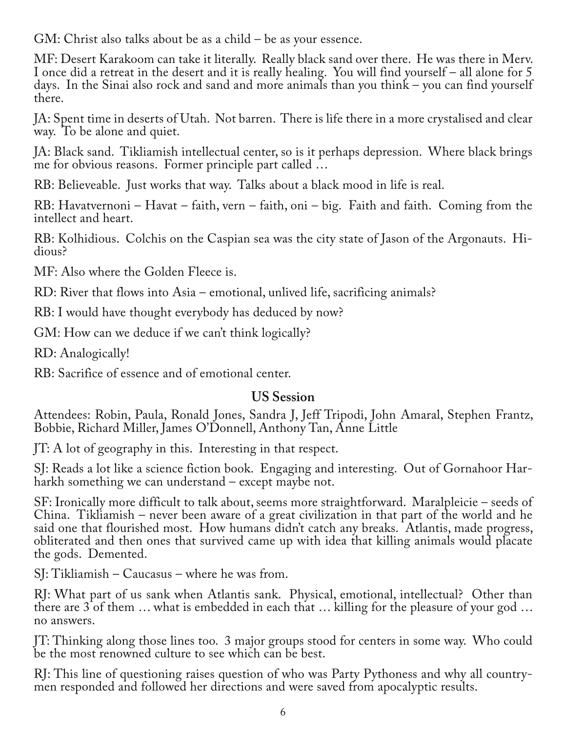GM: Christ also talks about be as a child – be as your essence.

MF: Desert Karakoom can take it literally. Really black sand over there. He was there in Merv. I once did a retreat in the desert and it is really healing. You will find yourself – all alone for 5 days. In the Sinai also rock and sand and more animals than you think – you can find yourself there.

JA: Spent time in deserts of Utah. Not barren. There is life there in a more crystalised and clear way. To be alone and quiet.

JA: Black sand. Tikliamish intellectual center, so is it perhaps depression. Where black brings me for obvious reasons. Former principle part called …

RB: Believeable. Just works that way. Talks about a black mood in life is real.

RB: Havatvernoni – Havat – faith, vern – faith, oni – big. Faith and faith. Coming from the intellect and heart.

RB: Kolhidious. Colchis on the Caspian sea was the city state of Jason of the Argonauts. Hi-<br>dious?

MF: Also where the Golden Fleece is.

RD: River that flows into Asia – emotional, unlived life, sacrificing animals?

RB: I would have thought everybody has deduced by now?

GM: How can we deduce if we can't think logically?

RD: Analogically!

RB: Sacrifice of essence and of emotional center.

## **US Session**

Attendees: Robin, Paula, Ronald Jones, Sandra J, Jeff Tripodi, John Amaral, Stephen Frantz, Bobbie, Richard Miller, James O'Donnell, Anthony Tan, Anne Little

JT: A lot of geography in this. Interesting in that respect.

SJ: Reads a lot like a science fiction book. Engaging and interesting. Out of Gornahoor Har‐ harkh something we can understand – except maybe not.

SF: Ironically more difficult to talk about, seems more straightforward. Maralpleicie – seeds of China. Tikliamish – never been aware of a great civilization in that part of the world and he said one that flourished most. How humans didn't catch any breaks. Atlantis, made progress, obliterated and then ones that survived came up with idea that killing animals would placate the gods. Demented.

SJ: Tikliamish – Caucasus – where he was from.

RJ: What part of us sank when Atlantis sank. Physical, emotional, intellectual? Other than there are 3 of them … what is embedded in each that … killing for the pleasure of your god … no answers.

JT: Thinking along those lines too. 3 major groups stood for centers in some way. Who could be the most renowned culture to see which can be best.

RJ: This line of questioning raises question of who was Party Pythoness and why all country-<br>men responded and followed her directions and were saved from apocalyptic results.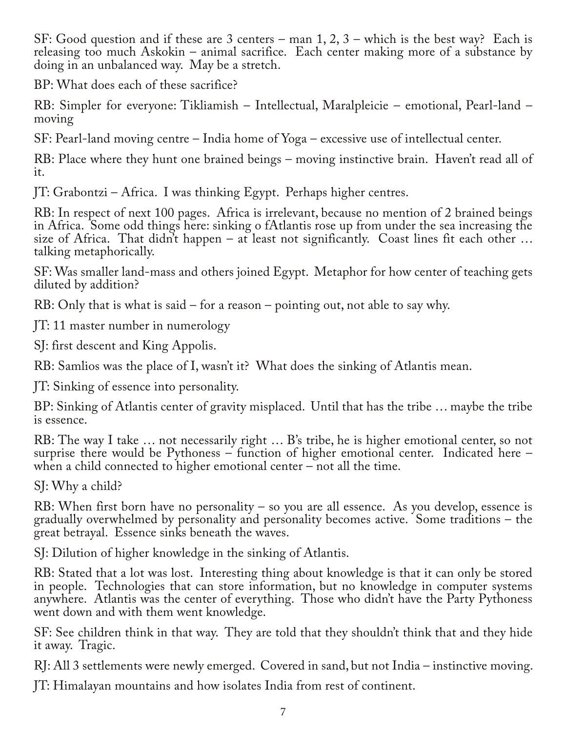SF: Good question and if these are 3 centers – man 1, 2, 3 – which is the best way? Each is releasing too much Askokin – animal sacrifice. Each center making more of a substance by doing in an unbalanced way. May be a stretch.

BP: What does each of these sacrifice?

RB: Simpler for everyone: Tikliamish – Intellectual, Maralpleicie – emotional, Pearl-land – moving

SF: Pearl-land moving centre – India home of Yoga – excessive use of intellectual center.

RB: Place where they hunt one brained beings – moving instinctive brain. Haven't read all of it.

JT: Grabontzi – Africa. I was thinking Egypt. Perhaps higher centres.

RB: In respect of next 100 pages. Africa is irrelevant, because no mention of 2 brained beings in Africa. Some odd things here: sinking o fAtlantis rose up from under the sea increasing the size of Africa. That didn't happen – at least not significantly. Coast lines fit each other  $\dots$ talking metaphorically.

SF: Was smaller land-mass and others joined Egypt. Metaphor for how center of teaching gets diluted by addition?

RB: Only that is what is said – for a reason – pointing out, not able to say why.

JT: 11 master number in numerology

SJ: first descent and King Appolis.

RB: Samlios was the place of I, wasn't it? What does the sinking of Atlantis mean.

JT: Sinking of essence into personality.

BP: Sinking of Atlantis center of gravity misplaced. Until that has the tribe … maybe the tribe is essence.

RB: The way I take … not necessarily right … B's tribe, he is higher emotional center, so not surprise there would be Pythoness – function of higher emotional center. Indicated here – when a child connected to higher emotional center – not all the time.

SJ: Why a child?

RB: When first born have no personality – so you are all essence. As you develop, essence is gradually overwhelmed by personality and personality becomes active. Some traditions – the great betrayal. Essence sinks beneath the waves.

SJ: Dilution of higher knowledge in the sinking of Atlantis.

RB: Stated that a lot was lost. Interesting thing about knowledge is that it can only be stored in people. Technologies that can store information, but no knowledge in computer systems anywhere. Atlantis was the center of everything. Those who didn't have the Party Pythoness went down and with them went knowledge.

SF: See children think in that way. They are told that they shouldn't think that and they hide it away. Tragic.

RJ: All 3 settlements were newly emerged. Covered in sand, but not India – instinctive moving.

JT: Himalayan mountains and how isolates India from rest of continent.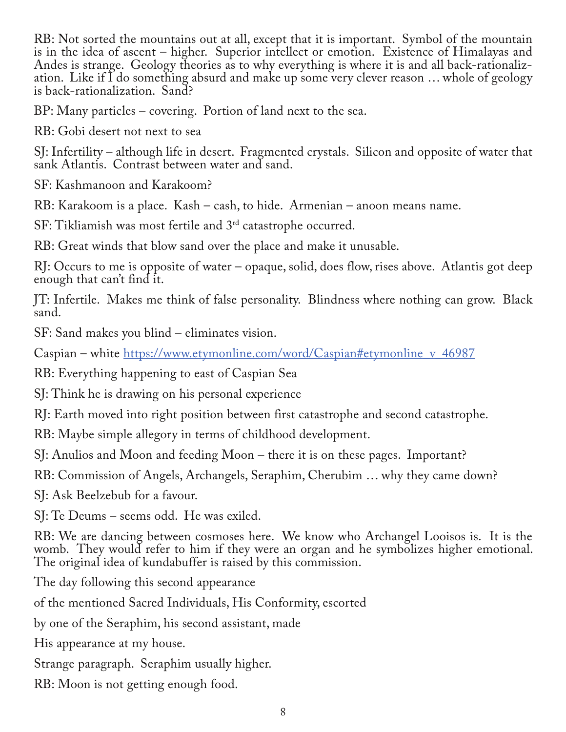RB: Not sorted the mountains out at all, except that it is important. Symbol of the mountain is in the idea of ascent – higher. Superior intellect or emotion. Existence of Himalayas and Andes is strange. Geology theories as to why everything is where it is and all back-rationaliz‐ ation. Like if I do something absurd and make up some very clever reason … whole of geology is back-rationalization. Sand?

BP: Many particles – covering. Portion of land next to the sea.

RB: Gobi desert not next to sea

SJ: Infertility – although life in desert. Fragmented crystals. Silicon and opposite of water that sank Atlantis. Contrast between water and sand.

SF: Kashmanoon and Karakoom?

RB: Karakoom is a place. Kash – cash, to hide. Armenian – anoon means name.

SF: Tikliamish was most fertile and 3<sup>rd</sup> catastrophe occurred.

RB: Great winds that blow sand over the place and make it unusable.

RJ: Occurs to me is opposite of water – opaque, solid, does flow, rises above. Atlantis got deep enough that can't find it.

JT: Infertile. Makes me think of false personality. Blindness where nothing can grow. Black sand.

SF: Sand makes you blind – eliminates vision.

Caspian – white https://www.etymonline.com/word/Caspian#etymonline\_v\_46987

RB: Everything happening to east of Caspian Sea

SJ: Think he is drawing on his personal experience

RJ: Earth moved into right position between first catastrophe and second catastrophe.

RB: Maybe simple allegory in terms of childhood development.

SJ: Anulios and Moon and feeding Moon – there it is on these pages. Important?

RB: Commission of Angels, Archangels, Seraphim, Cherubim … why they came down?

SJ: Ask Beelzebub for a favour.

SJ: Te Deums – seems odd. He was exiled.

RB: We are dancing between cosmoses here. We know who Archangel Looisos is. It is the womb. They would refer to him if they were an organ and he symbolizes higher emotional. The original idea of kundabuffer is raised by this commission.

The day following this second appearance

of the mentioned Sacred Individuals, His Conformity, escorted

by one of the Seraphim, his second assistant, made

His appearance at my house.

Strange paragraph. Seraphim usually higher.

RB: Moon is not getting enough food.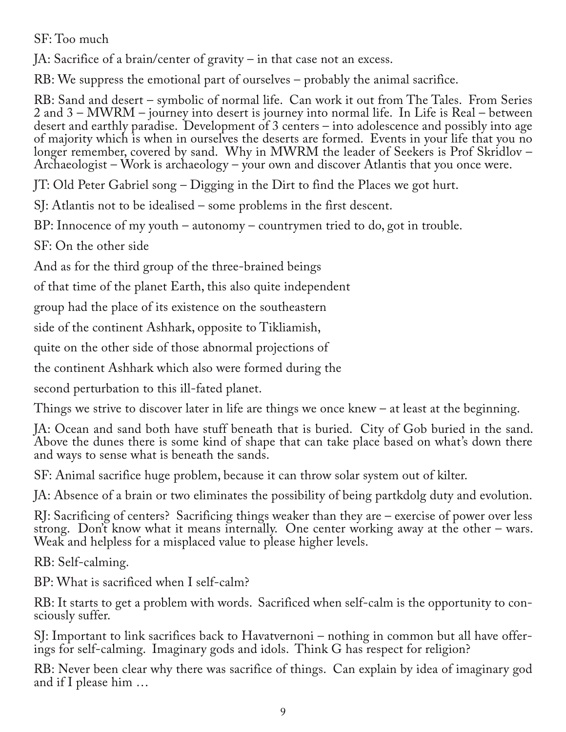SF: Too much

JA: Sacrifice of a brain/center of gravity – in that case not an excess.

RB: We suppress the emotional part of ourselves – probably the animal sacrifice.

RB: Sand and desert – symbolic of normal life. Can work it out from The Tales. From Series 2 and 3 – MWRM – journey into desert is journey into normal life. In Life is Real – between desert and earthly paradise. Development of 3 centers – into adolescence and possibly into age of majority which is when in ourselves the deserts are formed. Events in your life that you no longer remember, covered by sand. Why in MWRM the leader of Seekers is Prof Skridlov – Archaeologist – Work is archaeology – your own and discover Atlantis that you once were.

JT: Old Peter Gabriel song – Digging in the Dirt to find the Places we got hurt.

SJ: Atlantis not to be idealised – some problems in the first descent.

BP: Innocence of my youth – autonomy – countrymen tried to do, got in trouble.

SF: On the other side

And as for the third group of the three-brained beings

of that time of the planet Earth, this also quite independent

group had the place of its existence on the southeastern

side of the continent Ashhark, opposite to Tikliamish,

quite on the other side of those abnormal projections of

the continent Ashhark which also were formed during the

second perturbation to this ill-fated planet.

Things we strive to discover later in life are things we once knew – at least at the beginning.

JA: Ocean and sand both have stuff beneath that is buried. City of Gob buried in the sand. Above the dunes there is some kind of shape that can take place based on what's down there and ways to sense what is beneath the sands.

SF: Animal sacrifice huge problem, because it can throw solar system out of kilter.

JA: Absence of a brain or two eliminates the possibility of being partkdolg duty and evolution.

RJ: Sacrificing of centers? Sacrificing things weaker than they are – exercise of power over less strong. Don't know what it means internally. One center working away at the other – wars. Weak and helpless for a misplaced value to please higher levels.

RB: Self-calming.

BP: What is sacrificed when I self-calm?

RB: It starts to get a problem with words. Sacrificed when self-calm is the opportunity to consciously suffer.

SJ: Important to link sacrifices back to Havatvernoni – nothing in common but all have offer-<br>ings for self-calming. Imaginary gods and idols. Think G has respect for religion?

RB: Never been clear why there was sacrifice of things. Can explain by idea of imaginary god and if I please him …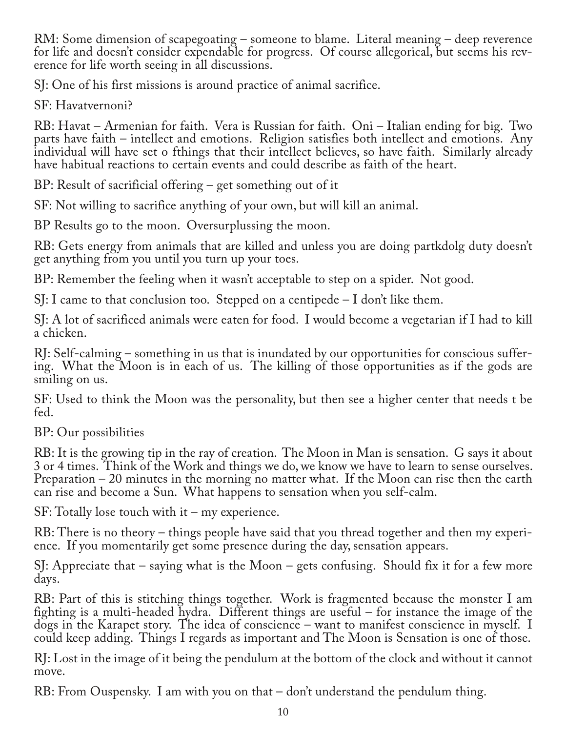RM: Some dimension of scapegoating – someone to blame. Literal meaning – deep reverence for life and doesn't consider expendable for progress. Of course allegorical, but seems his reverence for life worth seeing in all discussions.

SJ: One of his first missions is around practice of animal sacrifice.

SF: Havatvernoni?

RB: Havat – Armenian for faith. Vera is Russian for faith. Oni – Italian ending for big. Two parts have faith – intellect and emotions. Religion satisfies both intellect and emotions. Any individual will have set o fthings that their intellect believes, so have faith. Similarly already have habitual reactions to certain events and could describe as faith of the heart.

BP: Result of sacrificial offering – get something out of it

SF: Not willing to sacrifice anything of your own, but will kill an animal.

BP Results go to the moon. Oversurplussing the moon.

RB: Gets energy from animals that are killed and unless you are doing partkdolg duty doesn't get anything from you until you turn up your toes.

BP: Remember the feeling when it wasn't acceptable to step on a spider. Not good.

SJ: I came to that conclusion too. Stepped on a centipede – I don't like them.

SJ: A lot of sacrificed animals were eaten for food. I would become a vegetarian if I had to kill a chicken.

RJ: Self-calming – something in us that is inundated by our opportunities for conscious suffer‐ ing. What the Moon is in each of us. The killing of those opportunities as if the gods are smiling on us.

SF: Used to think the Moon was the personality, but then see a higher center that needs t be fed.

BP: Our possibilities

RB: It is the growing tip in the ray of creation. The Moon in Man is sensation. G says it about 3 or 4 times. Think of the Work and things we do, we know we have to learn to sense ourselves. Preparation – 20 minutes in the morning no matter what. If the Moon can rise then the earth can rise and become a Sun. What happens to sensation when you self-calm.

SF: Totally lose touch with it – my experience.

RB: There is no theory – things people have said that you thread together and then my experience. If you momentarily get some presence during the day, sensation appears.

SJ: Appreciate that – saying what is the Moon – gets confusing. Should fix it for a few more days.

RB: Part of this is stitching things together. Work is fragmented because the monster I am fighting is a multi-headed hydra. Different things are useful – for instance the image of the dogs in the Karapet story. The idea of conscience – want to manifest conscience in myself. I could keep adding. Things I regards as important and The Moon is Sensation is one of those.

RJ: Lost in the image of it being the pendulum at the bottom of the clock and without it cannot move.

RB: From Ouspensky. I am with you on that – don't understand the pendulum thing.